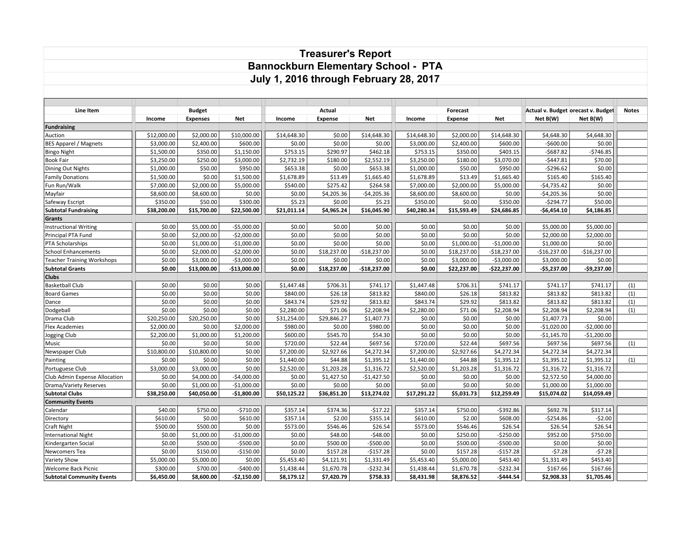## **Treasurer's Report Bannockburn Elementary School - PTA July 1, 2016 through February 28, 2017**

| Line Item                         |             | <b>Budget</b>   |               | Actual      |             |               | Forecast    |             |               | Actual v. Budget orecast v. Budget | <b>Notes</b>  |     |
|-----------------------------------|-------------|-----------------|---------------|-------------|-------------|---------------|-------------|-------------|---------------|------------------------------------|---------------|-----|
|                                   | Income      | <b>Expenses</b> | <b>Net</b>    | Income      | Expense     | <b>Net</b>    | Income      | Expense     | <b>Net</b>    | Net B(W)                           | Net B(W)      |     |
| <b>Fundraising</b>                |             |                 |               |             |             |               |             |             |               |                                    |               |     |
| Auction                           | \$12,000.00 | \$2,000.00      | \$10,000.00   | \$14,648.30 | \$0.00      | \$14,648.30   | \$14,648.30 | \$2,000.00  | \$14,648.30   | \$4,648.30                         | \$4,648.30    |     |
| <b>BES Apparel / Magnets</b>      | \$3,000.00  | \$2,400.00      | \$600.00      | \$0.00      | \$0.00      | \$0.00        | \$3,000.00  | \$2,400.00  | \$600.00      | $-$600.00$                         | \$0.00        |     |
| <b>Bingo Night</b>                | \$1,500.00  | \$350.00        | \$1,150.00    | \$753.15    | \$290.97    | \$462.18      | \$753.15    | \$350.00    | \$403.15      | $-5687.82$                         | $-5746.85$    |     |
| Book Fair                         | \$3,250.00  | \$250.00        | \$3,000.00    | \$2,732.19  | \$180.00    | \$2,552.19    | \$3,250.00  | \$180.00    | \$3,070.00    | $-5447.81$                         | \$70.00       |     |
| Dining Out Nights                 | \$1,000.00  | \$50.00         | \$950.00      | \$653.38    | \$0.00      | \$653.38      | \$1,000.00  | \$50.00     | \$950.00      | $-5296.62$                         | \$0.00        |     |
| <b>Family Donations</b>           | \$1,500.00  | \$0.00          | \$1,500.00    | \$1,678.89  | \$13.49     | \$1,665.40    | \$1,678.89  | \$13.49     | \$1,665.40    | \$165.40                           | \$165.40      |     |
| Fun Run/Walk                      | \$7,000.00  | \$2,000.00      | \$5,000.00    | \$540.00    | \$275.42    | \$264.58      | \$7,000.00  | \$2,000.00  | \$5,000.00    | $-$4,735.42$                       | \$0.00        |     |
| Mayfair                           | \$8,600.00  | \$8,600.00      | \$0.00        | \$0.00      | \$4,205.36  | $-$4,205.36$  | \$8,600.00  | \$8,600.00  | \$0.00        | $-$4,205.36$                       | \$0.00        |     |
| Safeway Escript                   | \$350.00    | \$50.00         | \$300.00      | \$5.23      | \$0.00      | \$5.23        | \$350.00    | \$0.00      | \$350.00      | $-$294.77$                         | \$50.00       |     |
| <b>Subtotal Fundraising</b>       | \$38,200.00 | \$15,700.00     | \$22,500.00   | \$21,011.14 | \$4,965.24  | \$16,045.90   | \$40,280.34 | \$15,593.49 | \$24,686.85   | $-$6,454.10$                       | \$4,186.85    |     |
| Grants                            |             |                 |               |             |             |               |             |             |               |                                    |               |     |
| <b>Instructional Writing</b>      | \$0.00      | \$5,000.00      | $-$5,000.00$  | \$0.00      | \$0.00      | \$0.00        | \$0.00      | \$0.00      | \$0.00        | \$5,000.00                         | \$5,000.00    |     |
| Principal PTA Fund                | \$0.00      | \$2,000.00      | $-$2,000.00$  | \$0.00      | \$0.00      | \$0.00        | \$0.00      | \$0.00      | \$0.00        | \$2,000.00                         | \$2,000.00    |     |
| PTA Scholarships                  | \$0.00      | \$1,000.00      | $-$1,000.00$  | \$0.00      | \$0.00      | \$0.00        | \$0.00      | \$1,000.00  | $-$1,000.00$  | \$1,000.00                         | \$0.00        |     |
| <b>School Enhancements</b>        | \$0.00      | \$2,000.00      | $-$2,000.00$  | \$0.00      | \$18,237.00 | $-$18,237.00$ | \$0.00      | \$18,237.00 | $-$18,237.00$ | $-$16,237.00$                      | $-$16,237.00$ |     |
| <b>Teacher Training Workshops</b> | \$0.00      | \$3,000.00      | $-$3,000.00$  | \$0.00      | \$0.00      | \$0.00        | \$0.00      | \$3,000.00  | $-$3,000.00$  | \$3,000.00                         | \$0.00        |     |
| <b>Subtotal Grants</b>            | \$0.00      | \$13,000.00     | $-$13,000.00$ | \$0.00      | \$18,237.00 | $-$18,237.00$ | \$0.00      | \$22,237.00 | -\$22,237.00  | $-$5,237.00$                       | $-$9,237.00$  |     |
| <b>Clubs</b>                      |             |                 |               |             |             |               |             |             |               |                                    |               |     |
| <b>Basketball Club</b>            | \$0.00      | \$0.00          | \$0.00        | \$1,447.48  | \$706.31    | \$741.17      | \$1,447.48  | \$706.31    | \$741.17      | \$741.17                           | \$741.17      | (1) |
| <b>Board Games</b>                | \$0.00      | \$0.00          | \$0.00        | \$840.00    | \$26.18     | \$813.82      | \$840.00    | \$26.18     | \$813.82      | \$813.82                           | \$813.82      | (1) |
| Dance                             | \$0.00      | \$0.00          | \$0.00        | \$843.74    | \$29.92     | \$813.82      | \$843.74    | \$29.92     | \$813.82      | \$813.82                           | \$813.82      | (1) |
| Dodgeball                         | \$0.00      | \$0.00          | \$0.00        | \$2,280.00  | \$71.06     | \$2,208.94    | \$2,280.00  | \$71.06     | \$2,208.94    | \$2,208.94                         | \$2,208.94    | (1) |
| Drama Club                        | \$20,250.00 | \$20,250.00     | \$0.00        | \$31,254.00 | \$29,846.27 | \$1,407.73    | \$0.00      | \$0.00      | \$0.00        | \$1,407.73                         | \$0.00        |     |
| <b>Flex Academies</b>             | \$2,000.00  | \$0.00          | \$2,000.00    | \$980.00    | \$0.00      | \$980.00      | \$0.00      | \$0.00      | \$0.00        | $-$1,020.00$                       | $-52,000.00$  |     |
| Jogging Club                      | \$2,200.00  | \$1,000.00      | \$1,200.00    | \$600.00    | \$545.70    | \$54.30       | \$0.00      | \$0.00      | \$0.00        | $-$1,145.70$                       | $-$1,200.00$  |     |
| Music                             | \$0.00      | \$0.00          | \$0.00        | \$720.00    | \$22.44     | \$697.56      | \$720.00    | \$22.44     | \$697.56      | \$697.56                           | \$697.56      | (1) |
| Newspaper Club                    | \$10,800.00 | \$10,800.00     | \$0.00        | \$7,200.00  | \$2,927.66  | \$4,272.34    | \$7,200.00  | \$2,927.66  | \$4,272.34    | \$4,272.34                         | \$4,272.34    |     |
| Painting                          | \$0.00      | \$0.00          | \$0.00        | \$1,440.00  | \$44.88     | \$1,395.12    | \$1,440.00  | \$44.88     | \$1,395.12    | \$1,395.12                         | \$1,395.12    | (1) |
| Portuguese Club                   | \$3,000.00  | \$3,000.00      | \$0.00        | \$2,520.00  | \$1,203.28  | \$1,316.72    | \$2,520.00  | \$1,203.28  | \$1,316.72    | \$1,316.72                         | \$1,316.72    |     |
| Club Admin Expense Allocation     | \$0.00      | \$4,000.00      | $-$4,000.00$  | \$0.00      | \$1,427.50  | $-$1,427.50$  | \$0.00      | \$0.00      | \$0.00        | \$2,572.50                         | \$4,000.00    |     |
| Drama/Variety Reserves            | \$0.00      | \$1,000.00      | $-$1,000.00$  | \$0.00      | \$0.00      | \$0.00        | \$0.00      | \$0.00      | \$0.00        | \$1,000.00                         | \$1,000.00    |     |
| <b>Subtotal Clubs</b>             | \$38,250.00 | \$40,050.00     | $-$1,800.00$  | \$50,125.22 | \$36,851.20 | \$13,274.02   | \$17,291.22 | \$5,031.73  | \$12,259.49   | \$15,074.02                        | \$14,059.49   |     |
| <b>Community Events</b>           |             |                 |               |             |             |               |             |             |               |                                    |               |     |
| Calendar                          | \$40.00     | \$750.00        | $-5710.00$    | \$357.14    | \$374.36    | $-517.22$     | \$357.14    | \$750.00    | $-5392.86$    | \$692.78                           | \$317.14      |     |
| Directory                         | \$610.00    | \$0.00          | \$610.00      | \$357.14    | \$2.00      | \$355.14      | \$610.00    | \$2.00      | \$608.00      | $-$254.86$                         | $-52.00$      |     |
| Craft Night                       | \$500.00    | \$500.00        | \$0.00        | \$573.00    | \$546.46    | \$26.54       | \$573.00    | \$546.46    | \$26.54       | \$26.54                            | \$26.54       |     |
| <b>International Night</b>        | \$0.00      | \$1,000.00      | $-$1,000.00$  | \$0.00      | \$48.00     | $-$48.00$     | \$0.00      | \$250.00    | $-$250.00$    | \$952.00                           | \$750.00      |     |
| Kindergarten Social               | \$0.00      | \$500.00        | $-$500.00$    | \$0.00      | \$500.00    | $-$500.00$    | \$0.00      | \$500.00    | $-$500.00$    | \$0.00                             | \$0.00        |     |
| Newcomers Tea                     | \$0.00      | \$150.00        | $-$150.00$    | \$0.00      | \$157.28    | $-$157.28$    | \$0.00      | \$157.28    | $-$157.28$    | $-57.28$                           | $-57.28$      |     |
| Variety Show                      | \$5,000.00  | \$5,000.00      | \$0.00        | \$5,453.40  | \$4,121.91  | \$1,331.49    | \$5,453.40  | \$5,000.00  | \$453.40      | \$1,331.49                         | \$453.40      |     |
| Welcome Back Picnic               | \$300.00    | \$700.00        | $-$400.00$    | \$1,438.44  | \$1,670.78  | $-5232.34$    | \$1,438.44  | \$1,670.78  | $-5232.34$    | \$167.66                           | \$167.66      |     |
| <b>Subtotal Community Events</b>  | \$6,450.00  | \$8,600.00      | $-$2,150.00$  | \$8,179.12  | \$7,420.79  | \$758.33      | \$8,431.98  | \$8,876.52  | -\$444.54     | \$2,908.33                         | \$1,705.46    |     |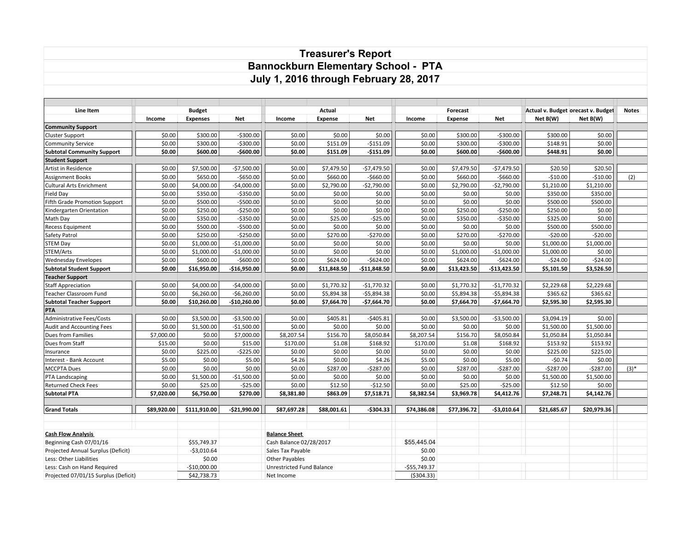## **Treasurer's Report Bannockburn Elementary School - PTA July 1, 2016 through February 28, 2017**

| Line Item                            |             |                 | <b>Budget</b> |                                  | Actual      |               |               | Forecast       |               |             | Actual v. Budget orecast v. Budget | <b>Notes</b> |
|--------------------------------------|-------------|-----------------|---------------|----------------------------------|-------------|---------------|---------------|----------------|---------------|-------------|------------------------------------|--------------|
|                                      | Income      | <b>Expenses</b> | <b>Net</b>    | Income                           | Expense     | <b>Net</b>    | Income        | <b>Expense</b> | <b>Net</b>    | Net B(W)    | Net B(W)                           |              |
| <b>Community Support</b>             |             |                 |               |                                  |             |               |               |                |               |             |                                    |              |
| Cluster Support                      | \$0.00      | \$300.00        | $-$300.00$    | \$0.00                           | \$0.00      | \$0.00        | \$0.00        | \$300.00       | $-5300.00$    | \$300.00    | \$0.00                             |              |
| <b>Community Service</b>             | \$0.00      | \$300.00        | $-$300.00$    | \$0.00                           | \$151.09    | $-$151.09$    | \$0.00        | \$300.00       | $-$300.00$    | \$148.91    | \$0.00                             |              |
| <b>Subtotal Community Support</b>    | \$0.00      | \$600.00        | $-$600.00$    | \$0.00                           | \$151.09    | $-$151.09$    | \$0.00        | \$600.00       | $-$600.00$    | \$448.91    | \$0.00                             |              |
| <b>Student Support</b>               |             |                 |               |                                  |             |               |               |                |               |             |                                    |              |
| Artist in Residence                  | \$0.00      | \$7,500.00      | $-$7,500.00$  | \$0.00                           | \$7,479.50  | $-$7,479.50$  | \$0.00        | \$7,479.50     | $-$7,479.50$  | \$20.50     | \$20.50                            |              |
| Assignment Books                     | \$0.00      | \$650.00        | $-$650.00$    | \$0.00                           | \$660.00    | $-$660.00$    | \$0.00        | \$660.00       | $-5660.00$    | $-510.00$   | $-510.00$                          | (2)          |
| <b>Cultural Arts Enrichment</b>      | \$0.00      | \$4,000.00      | $-$4,000.00$  | \$0.00                           | \$2,790.00  | $-$2,790.00$  | \$0.00        | \$2,790.00     | $-$2,790.00$  | \$1,210.00  | \$1,210.00                         |              |
| Field Day                            | \$0.00      | \$350.00        | $-5350.00$    | \$0.00                           | \$0.00      | \$0.00        | \$0.00        | \$0.00         | \$0.00        | \$350.00    | \$350.00                           |              |
| <b>Fifth Grade Promotion Support</b> | \$0.00      | \$500.00        | $-$500.00$    | \$0.00                           | \$0.00      | \$0.00        | \$0.00        | \$0.00         | \$0.00        | \$500.00    | \$500.00                           |              |
| Kindergarten Orientation             | \$0.00      | \$250.00        | $-$250.00$    | \$0.00                           | \$0.00      | \$0.00        | \$0.00        | \$250.00       | $-$250.00$    | \$250.00    | \$0.00                             |              |
| Math Day                             | \$0.00      | \$350.00        | $-$350.00$    | \$0.00                           | \$25.00     | $-$25.00$     | \$0.00        | \$350.00       | $-$350.00$    | \$325.00    | \$0.00                             |              |
| <b>Recess Equipment</b>              | \$0.00      | \$500.00        | $-$500.00$    | \$0.00                           | \$0.00      | \$0.00        | \$0.00        | \$0.00         | \$0.00        | \$500.00    | \$500.00                           |              |
| Safety Patrol                        | \$0.00      | \$250.00        | $-$250.00$    | \$0.00                           | \$270.00    | $-$270.00$    | \$0.00        | \$270.00       | $-$270.00$    | $-$20.00$   | $-$20.00$                          |              |
| <b>STEM Day</b>                      | \$0.00      | \$1,000.00      | $-$1,000.00$  | \$0.00                           | \$0.00      | \$0.00        | \$0.00        | \$0.00         | \$0.00        | \$1,000.00  | \$1,000.00                         |              |
| STEM/Arts                            | \$0.00      | \$1,000.00      | $-$1,000.00$  | \$0.00                           | \$0.00      | \$0.00        | \$0.00        | \$1,000.00     | $-$1,000.00$  | \$1,000.00  | \$0.00                             |              |
| <b>Wednesday Envelopes</b>           | \$0.00      | \$600.00        | $-$600.00$    | \$0.00                           | \$624.00    | $-$624.00$    | \$0.00        | \$624.00       | $-$624.00$    | $-524.00$   | $-524.00$                          |              |
| <b>Subtotal Student Support</b>      | \$0.00      | \$16,950.00     | $-$16,950.00$ | \$0.00                           | \$11,848.50 | $-$11,848.50$ | \$0.00        | \$13,423.50    | $-$13,423.50$ | \$5,101.50  | \$3,526.50                         |              |
| <b>Teacher Support</b>               |             |                 |               |                                  |             |               |               |                |               |             |                                    |              |
| <b>Staff Appreciation</b>            | \$0.00      | \$4,000.00      | $-$4,000.00$  | \$0.00                           | \$1,770.32  | $-$1,770.32$  | \$0.00        | \$1,770.32     | $-$1,770.32$  | \$2,229.68  | \$2,229.68                         |              |
| Teacher Classroom Fund               | \$0.00      | \$6,260.00      | $-$6,260.00$  | \$0.00                           | \$5,894.38  | $-$5,894.38$  | \$0.00        | \$5,894.38     | $-$5,894.38$  | \$365.62    | \$365.62                           |              |
| <b>Subtotal Teacher Support</b>      | \$0.00      | \$10,260.00     | $-$10,260.00$ | \$0.00                           | \$7,664.70  | $-$7,664.70$  | \$0.00        | \$7,664.70     | $-$7,664.70$  | \$2,595.30  | \$2,595.30                         |              |
| PTA                                  |             |                 |               |                                  |             |               |               |                |               |             |                                    |              |
| <b>Administrative Fees/Costs</b>     | \$0.00      | \$3,500.00      | $-53,500.00$  | \$0.00                           | \$405.81    | $-5405.81$    | \$0.00        | \$3,500.00     | $-53,500.00$  | \$3,094.19  | \$0.00                             |              |
| Audit and Accounting Fees            | \$0.00      | \$1,500.00      | $-$1,500.00$  | \$0.00                           | \$0.00      | \$0.00        | \$0.00        | \$0.00         | \$0.00        | \$1,500.00  | \$1,500.00                         |              |
| Dues from Families                   | \$7,000.00  | \$0.00          | \$7,000.00    | \$8,207.54                       | \$156.70    | \$8,050.84    | \$8,207.54    | \$156.70       | \$8,050.84    | \$1,050.84  | \$1,050.84                         |              |
| Dues from Staff                      | \$15.00     | \$0.00          | \$15.00       | \$170.00                         | \$1.08      | \$168.92      | \$170.00      | \$1.08         | \$168.92      | \$153.92    | \$153.92                           |              |
| Insurance                            | \$0.00      | \$225.00        | $-5225.00$    | \$0.00                           | \$0.00      | \$0.00        | \$0.00        | \$0.00         | \$0.00        | \$225.00    | \$225.00                           |              |
| Interest - Bank Account              | \$5.00      | \$0.00          | \$5.00        | \$4.26                           | \$0.00      | \$4.26        | \$5.00        | \$0.00         | \$5.00        | $-50.74$    | \$0.00                             |              |
| <b>MCCPTA Dues</b>                   | \$0.00      | \$0.00          | \$0.00        | \$0.00                           | \$287.00    | $-5287.00$    | \$0.00        | \$287.00       | $-5287.00$    | $-5287.00$  | $-5287.00$                         | $(3)^*$      |
| PTA Landscaping                      | \$0.00      | \$1,500.00      | $-$1,500.00$  | \$0.00                           | \$0.00      | \$0.00        | \$0.00        | \$0.00         | \$0.00        | \$1,500.00  | \$1,500.00                         |              |
| <b>Returned Check Fees</b>           | \$0.00      | \$25.00         | $-525.00$     | \$0.00                           | \$12.50     | $-$12.50$     | \$0.00        | \$25.00        | $-525.00$     | \$12.50     | \$0.00                             |              |
| <b>Subtotal PTA</b>                  | \$7,020.00  | \$6,750.00      | \$270.00      | \$8,381.80                       | \$863.09    | \$7,518.71    | \$8,382.54    | \$3,969.78     | \$4,412.76    | \$7,248.71  | \$4,142.76                         |              |
| <b>Grand Totals</b>                  | \$89,920.00 | \$111,910.00    | $-$21,990.00$ | \$87,697.28                      | \$88,001.61 | $-5304.33$    | \$74,386.08   | \$77,396.72    | $-$3,010.64$  | \$21,685.67 | \$20,979.36                        |              |
|                                      |             |                 |               |                                  |             |               |               |                |               |             |                                    |              |
|                                      |             |                 |               |                                  |             |               |               |                |               |             |                                    |              |
| <b>Cash Flow Analysis</b>            |             |                 |               | <b>Balance Sheet</b>             |             |               |               |                |               |             |                                    |              |
| Beginning Cash 07/01/16              |             | \$55,749.37     |               | Cash Balance 02/28/2017          |             |               | \$55,445.04   |                |               |             |                                    |              |
| Projected Annual Surplus (Deficit)   |             | $-$3,010.64$    |               | Sales Tax Payable                |             |               | \$0.00        |                |               |             |                                    |              |
| Less: Other Liabilities              |             | \$0.00          |               | <b>Other Payables</b>            |             |               | \$0.00        |                |               |             |                                    |              |
| Less: Cash on Hand Required          |             | -\$10,000.00    |               | <b>Unrestricted Fund Balance</b> |             |               | $-$55,749.37$ |                |               |             |                                    |              |
| Projected 07/01/15 Surplus (Deficit) |             | \$42,738.73     |               | Net Income                       |             |               | ( \$304.33)   |                |               |             |                                    |              |